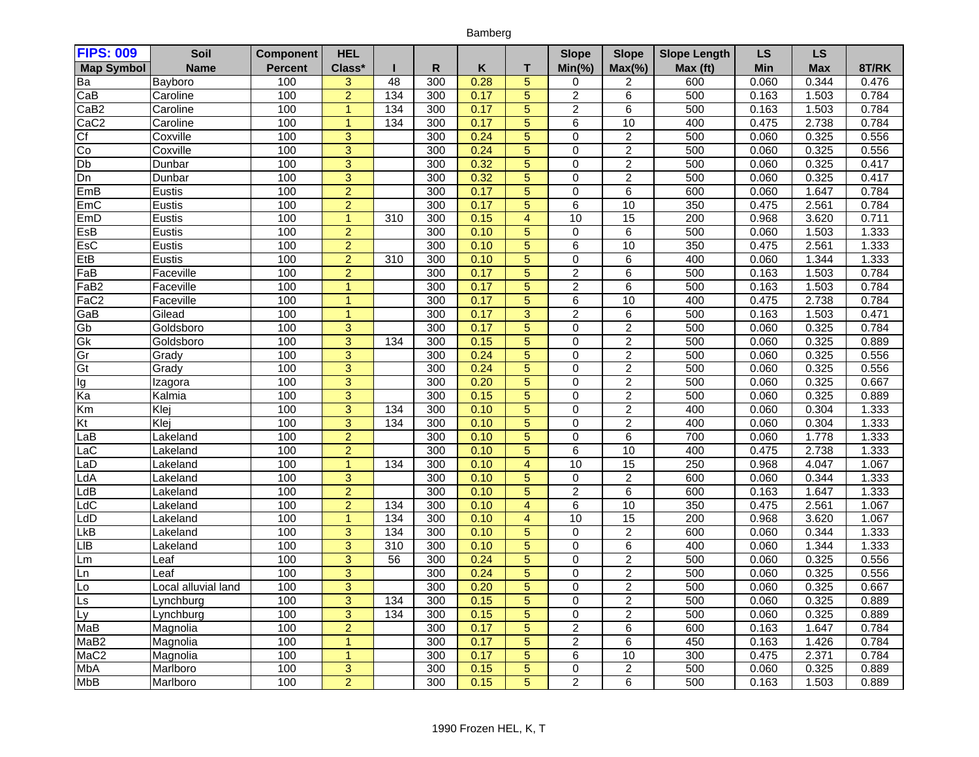## Bamberg

| <b>FIPS: 009</b>         | Soil                | <b>Component</b> | <b>HEL</b>     |     |              |      |                | <b>Slope</b>   | <b>Slope</b>     | <b>Slope Length</b> | LS         | LS         |       |
|--------------------------|---------------------|------------------|----------------|-----|--------------|------|----------------|----------------|------------------|---------------------|------------|------------|-------|
| <b>Map Symbol</b>        | <b>Name</b>         | <b>Percent</b>   | Class*         |     | $\mathsf{R}$ | Κ    | T              | $Min(\% )$     | $Max(\% )$       | Max (ft)            | <b>Min</b> | <b>Max</b> | 8T/RK |
| Ba                       | Bayboro             | 100              | 3              | 48  | 300          | 0.28 | $\overline{5}$ | 0              | 2                | 600                 | 0.060      | 0.344      | 0.476 |
| CaB                      | Caroline            | 100              | $\overline{2}$ | 134 | 300          | 0.17 | $\overline{5}$ | $\overline{2}$ | 6                | 500                 | 0.163      | 1.503      | 0.784 |
| CaB <sub>2</sub>         | Caroline            | 100              | $\overline{1}$ | 134 | 300          | 0.17 | $\overline{5}$ | $\overline{2}$ | 6                | 500                 | 0.163      | 1.503      | 0.784 |
| CaC <sub>2</sub>         | Caroline            | 100              | $\mathbf{1}$   | 134 | 300          | 0.17 | $\overline{5}$ | 6              | 10               | 400                 | 0.475      | 2.738      | 0.784 |
| Cf                       | Coxville            | 100              | $\overline{3}$ |     | 300          | 0.24 | $\overline{5}$ | 0              | $\overline{2}$   | 500                 | 0.060      | 0.325      | 0.556 |
| g                        | Coxville            | 100              | $\overline{3}$ |     | 300          | 0.24 | $\overline{5}$ | 0              | $\boldsymbol{2}$ | 500                 | 0.060      | 0.325      | 0.556 |
| Db                       | Dunbar              | 100              | $\overline{3}$ |     | 300          | 0.32 | $\overline{5}$ | $\Omega$       | $\overline{2}$   | 500                 | 0.060      | 0.325      | 0.417 |
| Dn                       | Dunbar              | 100              | $\overline{3}$ |     | 300          | 0.32 | $\overline{5}$ | $\overline{0}$ | $\overline{2}$   | 500                 | 0.060      | 0.325      | 0.417 |
| EmB                      | Eustis              | 100              | $\overline{2}$ |     | 300          | 0.17 | $\overline{5}$ | 0              | $\overline{6}$   | 600                 | 0.060      | 1.647      | 0.784 |
| EmC                      | Eustis              | 100              | $\overline{2}$ |     | 300          | 0.17 | $\overline{5}$ | 6              | 10               | 350                 | 0.475      | 2.561      | 0.784 |
| EmD                      | Eustis              | 100              | $\mathbf{1}$   | 310 | 300          | 0.15 | $\overline{4}$ | 10             | 15               | 200                 | 0.968      | 3.620      | 0.711 |
| EsB                      | Eustis              | 100              | $\overline{2}$ |     | 300          | 0.10 | $\overline{5}$ | $\Omega$       | 6                | 500                 | 0.060      | 1.503      | 1.333 |
| EsC                      | Eustis              | 100              | $\overline{2}$ |     | 300          | 0.10 | $\sqrt{5}$     | 6              | 10               | 350                 | 0.475      | 2.561      | 1.333 |
| EtB                      | <b>Eustis</b>       | 100              | $\overline{2}$ | 310 | 300          | 0.10 | $\overline{5}$ | 0              | $\overline{6}$   | 400                 | 0.060      | 1.344      | 1.333 |
| FaB                      | Faceville           | 100              | $\overline{2}$ |     | 300          | 0.17 | $\overline{5}$ | $\overline{2}$ | 6                | 500                 | 0.163      | 1.503      | 0.784 |
| FaB2                     | Faceville           | 100              | $\mathbf{1}$   |     | 300          | 0.17 | $\overline{5}$ | $\overline{2}$ | 6                | 500                 | 0.163      | 1.503      | 0.784 |
| FaC <sub>2</sub>         | Faceville           | 100              | $\overline{1}$ |     | 300          | 0.17 | $\overline{5}$ | 6              | 10               | 400                 | 0.475      | 2.738      | 0.784 |
| GaB                      | Gilead              | 100              | $\mathbf{1}$   |     | 300          | 0.17 | $\overline{3}$ | $\overline{2}$ | 6                | 500                 | 0.163      | 1.503      | 0.471 |
| Gb                       | Goldsboro           | 100              | $\overline{3}$ |     | 300          | 0.17 | $\overline{5}$ | 0              | $\overline{2}$   | 500                 | 0.060      | 0.325      | 0.784 |
| Gk                       | Goldsboro           | 100              | $\overline{3}$ | 134 | 300          | 0.15 | $\overline{5}$ | 0              | $\overline{2}$   | 500                 | 0.060      | 0.325      | 0.889 |
| Gr                       | Grady               | 100              | $\overline{3}$ |     | 300          | 0.24 | $\overline{5}$ | 0              | $\overline{2}$   | 500                 | 0.060      | 0.325      | 0.556 |
| Gt                       | Grady               | 100              | $\overline{3}$ |     | 300          | 0.24 | $\overline{5}$ | 0              | $\overline{2}$   | 500                 | 0.060      | 0.325      | 0.556 |
| lg                       | Izagora             | 100              | $\overline{3}$ |     | 300          | 0.20 | $\overline{5}$ | 0              | 2                | 500                 | 0.060      | 0.325      | 0.667 |
| Ka                       | Kalmia              | 100              | $\overline{3}$ |     | 300          | 0.15 | 5              | 0              | $\overline{c}$   | 500                 | 0.060      | 0.325      | 0.889 |
| Km                       | Klej                | 100              | $\overline{3}$ | 134 | 300          | 0.10 | $\overline{5}$ | 0              | $\overline{2}$   | 400                 | 0.060      | 0.304      | 1.333 |
| Kt                       | Klej                | 100              | $\overline{3}$ | 134 | 300          | 0.10 | $\overline{5}$ | $\Omega$       | $\overline{2}$   | 400                 | 0.060      | 0.304      | 1.333 |
| LaB                      | Lakeland            | 100              | $\overline{2}$ |     | 300          | 0.10 | $\overline{5}$ | 0              | $\overline{6}$   | 700                 | 0.060      | 1.778      | 1.333 |
| LaC                      | Lakeland            | 100              | $\overline{2}$ |     | 300          | 0.10 | $\overline{5}$ | 6              | 10               | 400                 | 0.475      | 2.738      | 1.333 |
| $\overline{L}$ aD        | Lakeland            | 100              | $\mathbf{1}$   | 134 | 300          | 0.10 | $\overline{4}$ | 10             | 15               | 250                 | 0.968      | 4.047      | 1.067 |
| LdA                      | Lakeland            | 100              | $\overline{3}$ |     | 300          | 0.10 | $\overline{5}$ | 0              | 2                | 600                 | 0.060      | 0.344      | 1.333 |
| $\overline{\mathsf{dB}}$ | Lakeland            | 100              | $\overline{2}$ |     | 300          | 0.10 | $\overline{5}$ | $\overline{2}$ | 6                | 600                 | 0.163      | 1.647      | 1.333 |
| $\overline{\mathsf{dC}}$ | Lakeland            | 100              | $\overline{2}$ | 134 | 300          | 0.10 | $\overline{4}$ | 6              | 10               | 350                 | 0.475      | 2.561      | 1.067 |
| LdD                      | Lakeland            | 100              | $\mathbf{1}$   | 134 | 300          | 0.10 | $\overline{4}$ | 10             | 15               | 200                 | 0.968      | 3.620      | 1.067 |
| LkB                      | Lakeland            | 100              | $\overline{3}$ | 134 | 300          | 0.10 | $\overline{5}$ | $\overline{0}$ | $\overline{2}$   | 600                 | 0.060      | 0.344      | 1.333 |
| $\overline{\mathsf{B}}$  | Lakeland            | 100              | $\overline{3}$ | 310 | 300          | 0.10 | $\overline{5}$ | 0              | 6                | 400                 | 0.060      | 1.344      | 1.333 |
| ∟m                       | Leaf                | 100              | $\overline{3}$ | 56  | 300          | 0.24 | $\overline{5}$ | $\Omega$       | $\overline{2}$   | 500                 | 0.060      | 0.325      | 0.556 |
| Ln                       | Leaf                | 100              | $\overline{3}$ |     | 300          | 0.24 | $\overline{5}$ | 0              | $\overline{2}$   | 500                 | 0.060      | 0.325      | 0.556 |
| Lo                       | Local alluvial land | 100              | $\overline{3}$ |     | 300          | 0.20 | $\overline{5}$ | 0              | $\overline{2}$   | 500                 | 0.060      | 0.325      | 0.667 |
| $\overline{\mathsf{Ls}}$ | Lynchburg           | 100              | $\overline{3}$ | 134 | 300          | 0.15 | $\overline{5}$ | 0              | $\overline{2}$   | 500                 | 0.060      | 0.325      | 0.889 |
| Ly                       | Lynchburg           | 100              | $\overline{3}$ | 134 | 300          | 0.15 | $\overline{5}$ | 0              | $\overline{2}$   | 500                 | 0.060      | 0.325      | 0.889 |
| MaB                      | Magnolia            | 100              | $\overline{2}$ |     | 300          | 0.17 | $\overline{5}$ | $\overline{2}$ | $\overline{6}$   | 600                 | 0.163      | 1.647      | 0.784 |
| MaB <sub>2</sub>         | Magnolia            | 100              | $\mathbf{1}$   |     | 300          | 0.17 | $\overline{5}$ | 2              | 6                | 450                 | 0.163      | 1.426      | 0.784 |
| MaC <sub>2</sub>         | Magnolia            | 100              | $\mathbf{1}$   |     | 300          | 0.17 | $\overline{5}$ | 6              | 10               | 300                 | 0.475      | 2.371      | 0.784 |
| MbA                      | Marlboro            | 100              | $\overline{3}$ |     | 300          | 0.15 | $\overline{5}$ | 0              | $\overline{c}$   | 500                 | 0.060      | 0.325      | 0.889 |
| <b>MbB</b>               | Marlboro            | 100              | $\overline{2}$ |     | 300          | 0.15 | $\overline{5}$ | $\overline{2}$ | 6                | 500                 | 0.163      | 1.503      | 0.889 |